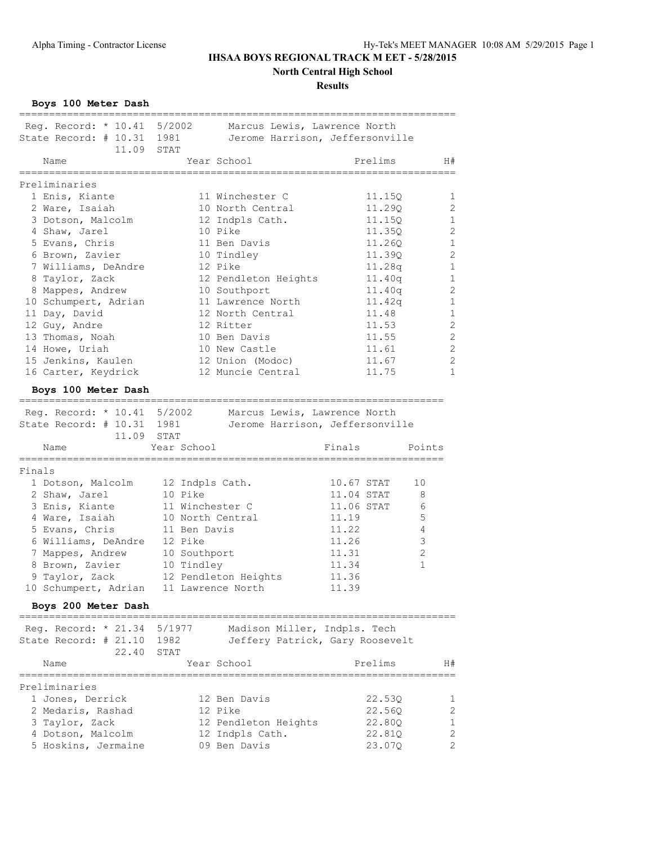**North Central High School**

### **Results**

**Boys 100 Meter Dash**

|                                                    | Reg. Record: * 10.41 5/2002 Marcus Lewis, Lawrence North     |                           |                |
|----------------------------------------------------|--------------------------------------------------------------|---------------------------|----------------|
| State Record: # 10.31 1981                         | Jerome Harrison, Jeffersonville                              |                           |                |
| 11.09 STAT                                         |                                                              |                           |                |
| Name                                               | Year School                                                  | Prelims                   | H#             |
| .======================                            | ===========================                                  | ------------------------- |                |
| Preliminaries                                      |                                                              |                           |                |
|                                                    | 11 Winchester C                                              |                           |                |
| 1 Enis, Kiante                                     |                                                              | 11.15Q                    | 1              |
| 2 Ware, Isaiah                                     | 10 North Central                                             | 11.29Q                    | 2              |
| 3 Dotson, Malcolm                                  | 12 Indpls Cath.                                              | 11.15Q                    | 1              |
| 4 Shaw, Jarel                                      | 10 Pike                                                      | 11.350                    | 2              |
| 5 Evans, Chris                                     | 11 Ben Davis                                                 | 11.26Q                    | $\mathbf 1$    |
| 6 Brown, Zavier                                    | 10 Tindley                                                   | 11.390                    | 2              |
| 7 Williams, DeAndre                                | 12 Pike                                                      | 11.28q                    | 1              |
| 8 Taylor, Zack                                     | 12 Pendleton Heights                                         | 11.40q                    | 1              |
| 8 Mappes, Andrew                                   | 10 Southport                                                 | 11.40q                    | 2              |
| 10 Schumpert, Adrian                               | 11 Lawrence North                                            | 11.42q                    | 1              |
| 11 Day, David                                      | 12 North Central                                             | 11.48                     | 1              |
|                                                    | 12 Ritter                                                    | 11.53                     |                |
| 12 Guy, Andre                                      |                                                              |                           | 2              |
| 13 Thomas, Noah                                    | 10 Ben Davis                                                 | 11.55                     | 2              |
| 14 Howe, Uriah                                     | 10 New Castle                                                | 11.61                     | 2              |
| 15 Jenkins, Kaulen                                 | 12 Union (Modoc)                                             | 11.67                     | 2              |
| 16 Carter, Keydrick                                | 12 Muncie Central                                            | 11.75                     | $\mathbf{1}$   |
| Boys 100 Meter Dash                                |                                                              |                           |                |
|                                                    |                                                              |                           |                |
|                                                    | Reg. Record: * 10.41 5/2002 Marcus Lewis, Lawrence North     |                           |                |
|                                                    | State Record: # 10.31 1981   Jerome Harrison, Jeffersonville |                           |                |
|                                                    |                                                              |                           |                |
|                                                    |                                                              |                           |                |
| 11.09 STAT                                         |                                                              |                           |                |
| Name                                               | Year School                                                  | Finals                    | Points         |
|                                                    | =================                                            |                           |                |
| Finals                                             |                                                              |                           |                |
| 1 Dotson, Malcolm                                  | 12 Indpls Cath.                                              | 10.67 STAT                | 10             |
| 2 Shaw, Jarel                                      | 10 Pike                                                      | 11.04 STAT                | 8              |
| 3 Enis, Kiante                                     | 11 Winchester C                                              | 11.06 STAT                | 6              |
| 4 Ware, Isaiah                                     | 10 North Central                                             | 11.19                     | $\mathsf S$    |
| 5 Evans, Chris                                     | 11 Ben Davis                                                 | 11.22                     | 4              |
| 6 Williams, DeAndre                                | 12 Pike                                                      | 11.26                     | 3              |
| 7 Mappes, Andrew                                   | 10 Southport                                                 | 11.31                     | $\overline{2}$ |
|                                                    |                                                              |                           | 1              |
| 8 Brown, Zavier                                    | 10 Tindley                                                   | 11.34                     |                |
| 9 Taylor, Zack                                     | 12 Pendleton Heights                                         | 11.36                     |                |
|                                                    | 10 Schumpert, Adrian 11 Lawrence North                       | 11.39                     |                |
| Boys 200 Meter Dash<br>=========================== |                                                              |                           |                |
| Reg. Record: * 21.34 5/1977                        |                                                              |                           |                |
|                                                    | Madison Miller, Indpls. Tech                                 |                           |                |
| State Record: # 21.10 1982                         | Jeffery Patrick, Gary Roosevelt                              |                           |                |
| 22.40                                              | STAT                                                         |                           |                |
| Name                                               | Year School                                                  | Prelims                   | H#             |
| Preliminaries                                      |                                                              |                           |                |
|                                                    | 12 Ben Davis                                                 |                           | 1              |
| 1 Jones, Derrick                                   |                                                              | 22.53Q                    |                |
| 2 Medaris, Rashad                                  | 12 Pike                                                      | 22.56Q                    | 2              |
| 3 Taylor, Zack                                     | 12 Pendleton Heights                                         | 22.80Q                    | 1              |
| 4 Dotson, Malcolm<br>5 Hoskins, Jermaine           | 12 Indpls Cath.<br>09 Ben Davis                              | 22.81Q<br>23.07Q          | 2<br>2         |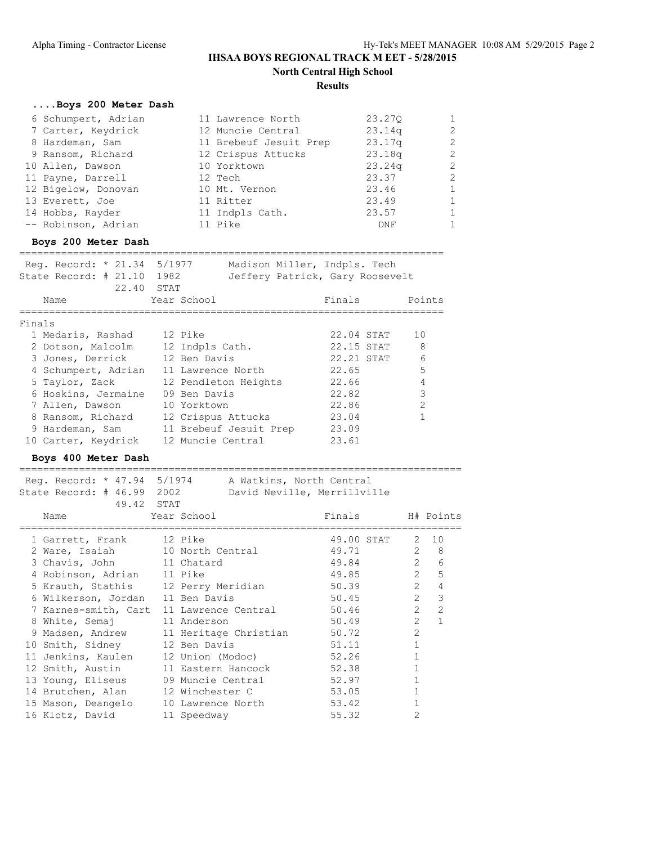### **Results**

# **....Boys 200 Meter Dash**

| 6 Schumpert, Adrian | 11 Lawrence North      | 23.270 | $\mathbf{1}$   |
|---------------------|------------------------|--------|----------------|
| 7 Carter, Keydrick  | 12 Muncie Central      | 23.14q | 2              |
| 8 Hardeman, Sam     | 11 Brebeuf Jesuit Prep | 23.17q | $\overline{2}$ |
| 9 Ransom, Richard   | 12 Crispus Attucks     | 23.18q | 2              |
| 10 Allen, Dawson    | 10 Yorktown            | 23.24q | $\overline{2}$ |
| 11 Payne, Darrell   | 12 Tech                | 23.37  | $\mathcal{L}$  |
| 12 Bigelow, Donovan | 10 Mt. Vernon          | 23.46  | $\mathbf{1}$   |
| 13 Everett, Joe     | 11 Ritter              | 23.49  | $\mathbf{1}$   |
| 14 Hobbs, Rayder    | 11 Indpls Cath.        | 23.57  | $\mathbf{1}$   |
| -- Robinson, Adrian | 11 Pike                | DNF    | $\mathbf{1}$   |
|                     |                        |        |                |

### **Boys 200 Meter Dash**

| Req. Record: * 21.34 5/1977<br>State Record: $#21.10$ | 1982                   | Madison Miller, Indpls. Tech<br>Jeffery Patrick, Gary Roosevelt |                |
|-------------------------------------------------------|------------------------|-----------------------------------------------------------------|----------------|
| 22.40 STAT                                            |                        |                                                                 |                |
| Name                                                  | Year School            | Finals                                                          | Points         |
|                                                       |                        |                                                                 |                |
| Finals                                                |                        |                                                                 |                |
| 1 Medaris, Rashad                                     | 12 Pike                | 22.04 STAT                                                      | 10             |
| 2 Dotson, Malcolm                                     | 12 Indpls Cath.        | 22.15 STAT                                                      | 8              |
| 3 Jones, Derrick                                      | 12 Ben Davis           | 22.21 STAT                                                      | 6              |
| 4 Schumpert, Adrian                                   | 11 Lawrence North      | 22.65                                                           | 5              |
| 5 Taylor, Zack                                        | 12 Pendleton Heights   | 22.66                                                           | 4              |
| 6 Hoskins, Jermaine                                   | 09 Ben Davis           | 22.82                                                           | 3              |
| 7 Allen, Dawson                                       | 10 Yorktown            | 22.86                                                           | $\mathfrak{D}$ |
| 8 Ransom, Richard                                     | 12 Crispus Attucks     | 23.04                                                           |                |
| 9 Hardeman, Sam                                       | 11 Brebeuf Jesuit Prep | 23.09                                                           |                |
| 10 Carter, Keydrick                                   | 12 Muncie Central      | 23.61                                                           |                |

### **Boys 400 Meter Dash**

| Reg. Record: * 47.94 5/1974         |                   | A Watkins, North Central |                             |                |                  |
|-------------------------------------|-------------------|--------------------------|-----------------------------|----------------|------------------|
| State Record: # 46.99 2002          |                   |                          | David Neville, Merrillville |                |                  |
| 49.42 STAT                          |                   |                          |                             |                |                  |
| Name                                | Year School       |                          | Finals H# Points            |                |                  |
|                                     |                   |                          | ============                |                |                  |
| 1 Garrett, Frank                    | 12 Pike           |                          | 49.00 STAT                  | 2              | 10               |
| 2 Ware, Isaiah 10 North Central     |                   |                          | 49.71                       |                | $2 \quad 8$      |
| 3 Chavis, John 11 Chatard           |                   |                          | 49.84                       | $2^{\circ}$    | 6                |
| 4 Robinson, Adrian 11 Pike          |                   |                          | 49.85                       |                | $2^{\circ}$<br>5 |
| 5 Krauth, Stathis 12 Perry Meridian |                   |                          | 50.39                       | $\overline{2}$ | $\overline{4}$   |
| 6 Wilkerson, Jordan 11 Ben Davis    |                   |                          | 50.45                       |                | $2^{\circ}$<br>3 |
| 7 Karnes-smith, Cart                |                   | 11 Lawrence Central      | 50.46                       | $\overline{2}$ | $\overline{2}$   |
| 8 White, Semaj                      | 11 Anderson       |                          | 50.49                       | $\mathfrak{D}$ | $\mathbf{1}$     |
| 9 Madsen, Andrew                    |                   | 11 Heritage Christian    | 50.72                       | $\mathcal{L}$  |                  |
| 10 Smith, Sidney                    | 12 Ben Davis      |                          | 51.11                       | $\mathbf{1}$   |                  |
| 11 Jenkins, Kaulen                  |                   | 12 Union (Modoc)         | 52.26                       | $\mathbf{1}$   |                  |
| 12 Smith, Austin                    |                   | 11 Eastern Hancock       | 52.38                       | 1              |                  |
| 13 Young, Eliseus                   |                   | 09 Muncie Central        | 52.97                       |                |                  |
| 14 Brutchen, Alan                   | 12 Winchester C   |                          | 53.05                       | $\mathbf{1}$   |                  |
| 15 Mason, Deangelo                  | 10 Lawrence North |                          | 53.42                       |                |                  |
| 16 Klotz, David                     | 11 Speedway       |                          | 55.32                       | $\mathcal{L}$  |                  |
|                                     |                   |                          |                             |                |                  |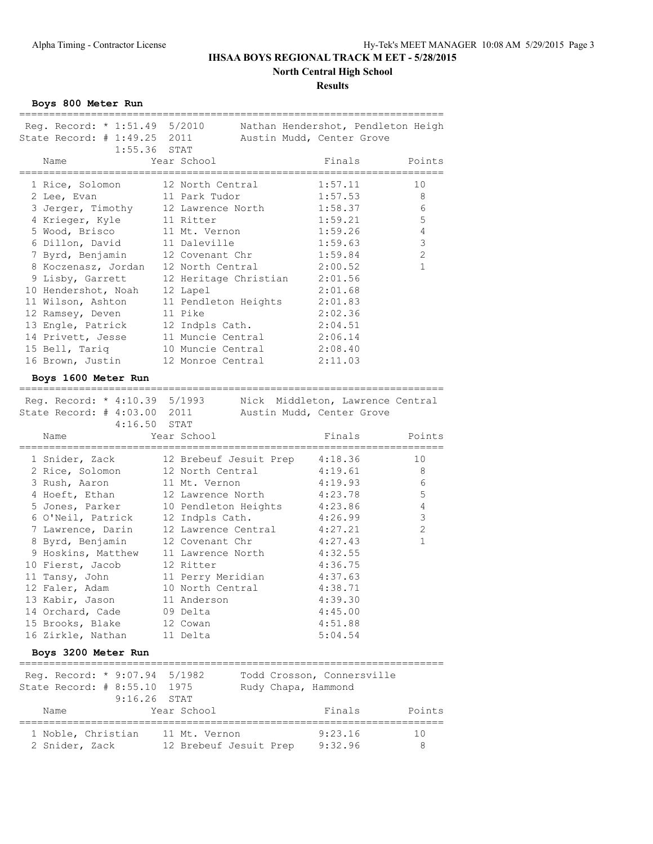**North Central High School**

### **Results**

**Boys 800 Meter Run**

| Reg. Record: * 1:51.49 5/2010    | Nathan Hendershot, Pendleton Heigh     |                                  |                |
|----------------------------------|----------------------------------------|----------------------------------|----------------|
| State Record: # 1:49.25 2011     | Austin Mudd, Center Grove              |                                  |                |
| $1:55.36$ STAT                   |                                        |                                  |                |
| Name<br>=============            | Year School<br>======================= | Finals<br>================       | Points         |
| 1 Rice, Solomon                  | 12 North Central                       | 1:57.11                          | 10             |
| 2 Lee, Evan                      | 11 Park Tudor                          | 1:57.53                          | 8              |
| 3 Jerger, Timothy                | 12 Lawrence North                      | 1:58.37                          | 6              |
| 4 Krieger, Kyle                  | 11 Ritter                              | 1:59.21                          | 5              |
| 5 Wood, Brisco                   | 11 Mt. Vernon                          | 1:59.26                          | $\overline{4}$ |
| 6 Dillon, David                  | 11 Daleville                           | 1:59.63                          | 3              |
| 7 Byrd, Benjamin                 | 12 Covenant Chr                        | 1:59.84                          | 2              |
| 8 Koczenasz, Jordan              | 12 North Central                       | 2:00.52                          | $\mathbf 1$    |
| 9 Lisby, Garrett                 | 12 Heritage Christian                  | 2:01.56                          |                |
| 10 Hendershot, Noah              | 12 Lapel                               | 2:01.68                          |                |
| 11 Wilson, Ashton                | 11 Pendleton Heights                   | 2:01.83                          |                |
| 12 Ramsey, Deven                 | 11 Pike                                | 2:02.36                          |                |
| 13 Engle, Patrick                | 12 Indpls Cath.                        | 2:04.51                          |                |
| 14 Privett, Jesse                | 11 Muncie Central                      | 2:06.14                          |                |
| 15 Bell, Tariq                   | 10 Muncie Central                      | 2:08.40                          |                |
| 16 Brown, Justin                 | 12 Monroe Central                      | 2:11.03                          |                |
| Boys 1600 Meter Run              |                                        |                                  |                |
|                                  | ---------------                        |                                  |                |
| Reg. Record: * 4:10.39 5/1993    |                                        | Nick Middleton, Lawrence Central |                |
| State Record: # 4:03.00 2011     | Austin Mudd, Center Grove              |                                  |                |
| 4:16.50 STAT                     |                                        |                                  |                |
| Name                             | Year School<br>=========               | Finals                           | Points         |
| 1 Snider, Zack                   | 12 Brebeuf Jesuit Prep                 | 4:18.36                          | 10             |
| 2 Rice, Solomon                  | 12 North Central                       | 4:19.61                          |                |
|                                  |                                        |                                  | 8              |
|                                  |                                        | 4:19.93                          | 6              |
| 3 Rush, Aaron<br>4 Hoeft, Ethan  | 11 Mt. Vernon<br>12 Lawrence North     | 4:23.78                          | 5              |
| 5 Jones, Parker                  | 10 Pendleton Heights                   | 4:23.86                          | $\overline{4}$ |
| 6 O'Neil, Patrick                | 12 Indpls Cath.                        | 4:26.99                          | 3              |
| 7 Lawrence, Darin                | 12 Lawrence Central                    | 4:27.21                          | 2              |
| 8 Byrd, Benjamin                 | 12 Covenant Chr                        | 4:27.43                          | 1              |
| 9 Hoskins, Matthew               | 11 Lawrence North                      | 4:32.55                          |                |
| 10 Fierst, Jacob                 | 12 Ritter                              | 4:36.75                          |                |
| 11 Tansy, John                   | 11 Perry Meridian                      | 4:37.63                          |                |
| 12 Faler, Adam                   | 10 North Central                       | 4:38.71                          |                |
| 13 Kabir, Jason                  | 11 Anderson                            | 4:39.30                          |                |
| 14 Orchard, Cade 09 Delta        |                                        | 4:45.00                          |                |
| 15 Brooks, Blake                 | 12 Cowan                               | 4:51.88                          |                |
| 16 Zirkle, Nathan 11 Delta       |                                        | 5:04.54                          |                |
| Boys 3200 Meter Run              |                                        |                                  |                |
|                                  |                                        |                                  |                |
| Reg. Record: * 9:07.94 5/1982    |                                        | Todd Crosson, Connersville       |                |
| State Record: # 8:55.10 1975     | Rudy Chapa, Hammond                    |                                  |                |
| $9:16.26$ STAT                   |                                        |                                  |                |
| Name                             | Year School                            | Finals                           | Points         |
| 1 Noble, Christian 11 Mt. Vernon |                                        | 9:23.16                          | 10             |
| 2 Snider, Zack                   | 12 Brebeuf Jesuit Prep 9:32.96         |                                  | 8              |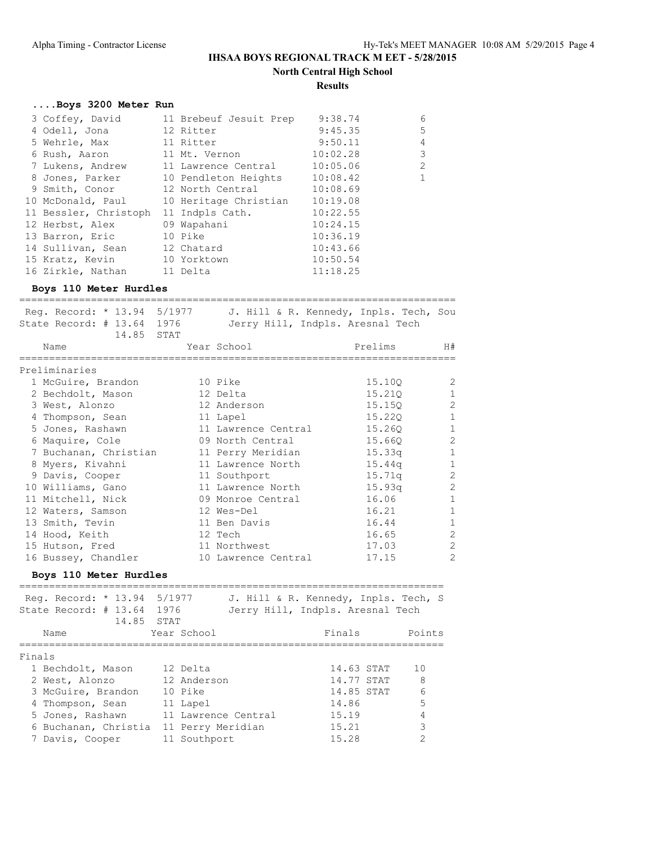**Results**

#### **....Boys 3200 Meter Run**

| 3 Coffey, David             | 11 Brebeuf Jesuit Prep        | 9:38.74  | 6            |
|-----------------------------|-------------------------------|----------|--------------|
| 4 Odell, Jona               | 12 Ritter                     | 9:45.35  | 5            |
| 5 Wehrle, Max               | 11 Ritter                     | 9:50.11  | 4            |
| 6 Rush, Aaron               | 11 Mt. Vernon                 | 10:02.28 | 3            |
| 7 Lukens, Andrew            | 11 Lawrence Central           | 10:05.06 | 2            |
| 8 Jones, Parker             | 10 Pendleton Heights 10:08.42 |          | $\mathbf{1}$ |
| 9 Smith, Conor              | 12 North Central              | 10:08.69 |              |
| 10 McDonald, Paul           | 10 Heritage Christian         | 10:19.08 |              |
| 11 Bessler, Christoph       | 11 Indpls Cath.               | 10:22.55 |              |
| 12 Herbst, Alex             | 09 Wapahani                   | 10:24.15 |              |
| 13 Barron, Eric             | 10 Pike                       | 10:36.19 |              |
| 14 Sullivan, Sean           | 12 Chatard                    | 10:43.66 |              |
| 15 Kratz, Kevin 10 Yorktown |                               | 10:50.54 |              |
| 16 Zirkle, Nathan           | 11 Delta                      | 11:18.25 |              |

#### **Boys 110 Meter Hurdles**

========================================================================= Reg. Record: \* 13.94 5/1977 J. Hill & R. Kennedy, Inpls. Tech, Sou State Record: # 13.64 1976 Jerry Hill, Indpls. Aresnal Tech 14.85 STAT Name Year School Prelims H# ========================================================================= Preliminaries 1 McGuire, Brandon 10 Pike 15.10Q 2 2 Bechdolt, Mason 12 Delta 15.21Q 1 3 West, Alonzo 12 Anderson 15.15Q 2 4 Thompson, Sean 11 Lapel 15.22Q 1 5 Jones, Rashawn 11 Lawrence Central 15.26Q 1 6 Maquire, Cole 09 North Central 15.66Q 2 7 Buchanan, Christian 11 Perry Meridian 15.33q 1 8 Myers, Kivahni 11 Lawrence North 15.44q 1 9 Davis, Cooper 11 Southport 15.71q 2 10 Williams, Gano 11 Lawrence North 15.93q 2 11 Mitchell, Nick 09 Monroe Central 16.06 1 12 Waters, Samson 12 Wes-Del 16.21 16.21 1 13 Smith, Tevin 11 Ben Davis 16.44 1 14 Hood, Keith 12 Tech 16.65 2 15 Hutson, Fred 11 Northwest 17.03 2 16 Bussey, Chandler 10 Lawrence Central 17.15 2

#### **Boys 110 Meter Hurdles**

| Reg. Record: * 13.94 5/1977<br>State Record: # 13.64 1976<br>14.85 STAT |                     | J. Hill & R. Kennedy, Inpls. Tech, S<br>Jerry Hill, Indpls. Aresnal Tech |            |        |
|-------------------------------------------------------------------------|---------------------|--------------------------------------------------------------------------|------------|--------|
| Name                                                                    | Year School         |                                                                          | Finals     | Points |
| Finals                                                                  |                     |                                                                          |            |        |
| 1 Bechdolt, Mason                                                       | 12 Delta            |                                                                          | 14.63 STAT | 10     |
| 2 West, Alonzo                                                          | 12 Anderson         |                                                                          | 14.77 STAT | - 8    |
| 3 McGuire, Brandon                                                      | 10 Pike             |                                                                          | 14.85 STAT | 6      |
| 4 Thompson, Sean                                                        | 11 Lapel            |                                                                          | 14.86      | 5      |
| 5 Jones, Rashawn                                                        | 11 Lawrence Central |                                                                          | 15.19      |        |
| 6 Buchanan, Christia                                                    | 11 Perry Meridian   |                                                                          | 15.21      | 3      |
| 7 Davis, Cooper                                                         | 11 Southport        |                                                                          | 15.28      |        |
|                                                                         |                     |                                                                          |            |        |

=======================================================================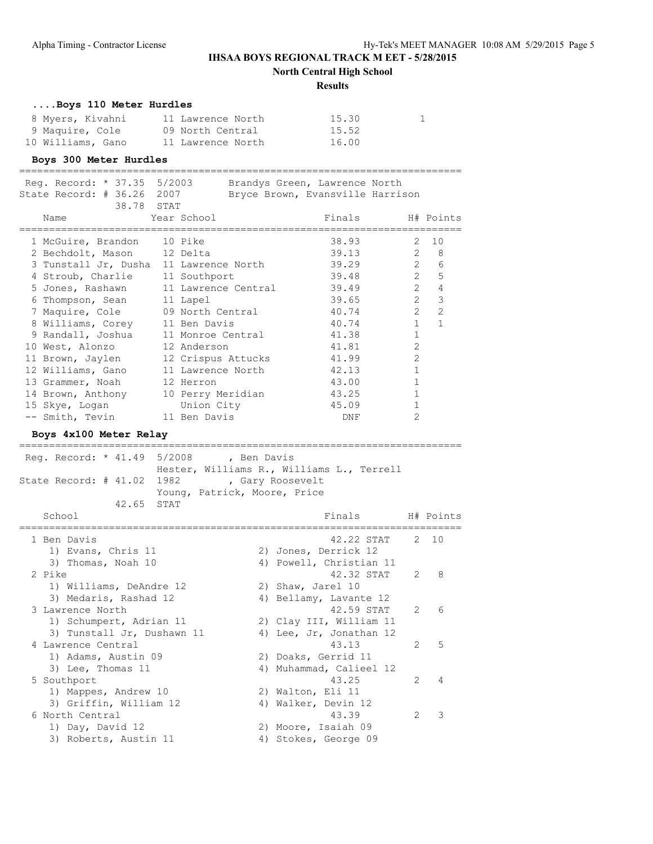**North Central High School**

#### **Results**

#### **....Boys 110 Meter Hurdles**

| 8 Myers, Kivahni  | 11 Lawrence North | 15.30 |
|-------------------|-------------------|-------|
| 9 Maquire, Cole   | 09 North Central  | 15.52 |
| 10 Williams, Gano | 11 Lawrence North | 16.00 |

#### **Boys 300 Meter Hurdles**

========================================================================== Reg. Record: \* 37.35 5/2003 Brandys Green, Lawrence North

| $Req. Record: * 3/.35 5/2003$<br>State Record: # 36.26 2007<br>38.78 STAT |                                            | Brandys Green, Lawrence North<br>Bryce Brown, Evansville Harrison |                |                  |
|---------------------------------------------------------------------------|--------------------------------------------|-------------------------------------------------------------------|----------------|------------------|
| Name                                                                      | Year School                                | Finals                                                            |                | H# Points        |
| 1 McGuire, Brandon 10 Pike                                                |                                            | 38.93                                                             | 2              | 10               |
| 2 Bechdolt, Mason 12 Delta                                                |                                            | 39.13                                                             |                | $2 \quad 8$      |
| 3 Tunstall Jr, Dusha 11 Lawrence North                                    |                                            | 39.29                                                             |                | $2^{\circ}$<br>6 |
| 4 Stroub, Charlie 11 Southport                                            |                                            | 39.48                                                             |                | 2 <sub>5</sub>   |
|                                                                           | 5 Jones, Rashawn 11 Lawrence Central 39.49 |                                                                   | 2              | $\overline{4}$   |
| 6 Thompson, Sean                                                          | 11 Lapel                                   | 39.65                                                             | 2              | 3                |
| 7 Maquire, Cole                                                           | 09 North Central                           | 40.74                                                             | $\overline{2}$ | $\overline{c}$   |
| 8 Williams, Corey 11 Ben Davis                                            |                                            | 40.74                                                             | $\mathbf{1}$   | $\mathbf{1}$     |
| 9 Randall, Joshua 11 Monroe Central                                       |                                            | 41.38                                                             | $\mathbf{1}$   |                  |
| 10 West, Alonzo                                                           | 12 Anderson                                | 41.81                                                             | $\mathcal{L}$  |                  |
| 11 Brown, Jaylen 12 Crispus Attucks                                       |                                            | 41.99                                                             | $\overline{2}$ |                  |
| 12 Williams, Gano                                                         | 11 Lawrence North                          | 42.13                                                             |                |                  |
| 13 Grammer, Noah                                                          | 12 Herron                                  | 43.00                                                             | $\mathbf{1}$   |                  |
| 14 Brown, Anthony                                                         | 10 Perry Meridian                          | 43.25                                                             | $\mathbf{1}$   |                  |
| 15 Skye, Logan Union City                                                 |                                            | 45.09                                                             |                |                  |
| -- Smith, Tevin 11 Ben Davis                                              |                                            | DNF                                                               | $\overline{2}$ |                  |
|                                                                           |                                            |                                                                   |                |                  |

==========================================================================

**Boys 4x100 Meter Relay**

Reg. Record: \* 41.49 5/2008 , Ben Davis Hester, Williams R., Williams L., Terrell State Record: # 41.02 1982 , Gary Roosevelt Young, Patrick, Moore, Price 42.65 STAT School **Finals** H# Points ========================================================================== 1 Ben Davis 42.22 STAT 2 10 1) Evans, Chris 11 2) Jones, Derrick 12 3) Thomas, Noah 10 4) Powell, Christian 11 2 Pike 42.32 STAT 2 8 1) Williams, DeAndre 12 2) Shaw, Jarel 10 3) Medaris, Rashad 12 4) Bellamy, Lavante 12 3 Lawrence North 42.59 STAT 2 6 1) Schumpert, Adrian 11 2) Clay III, William 11 3) Tunstall Jr, Dushawn 11 4) Lee, Jr, Jonathan 12 4 Lawrence Central 43.13 2 5 1) Adams, Austin 09 2) Doaks, Gerrid 11 3) Lee, Thomas 11 4) Muhammad, Calieel 12 5 Southport 43.25 2 4 1) Mappes, Andrew 10 2) Walton, Eli 11 3) Griffin, William 12 4) Walker, Devin 12 6 North Central 43.39 2 3 1) Day, David 12 2) Moore, Isaiah 09 3) Roberts, Austin 11 (4) Stokes, George 09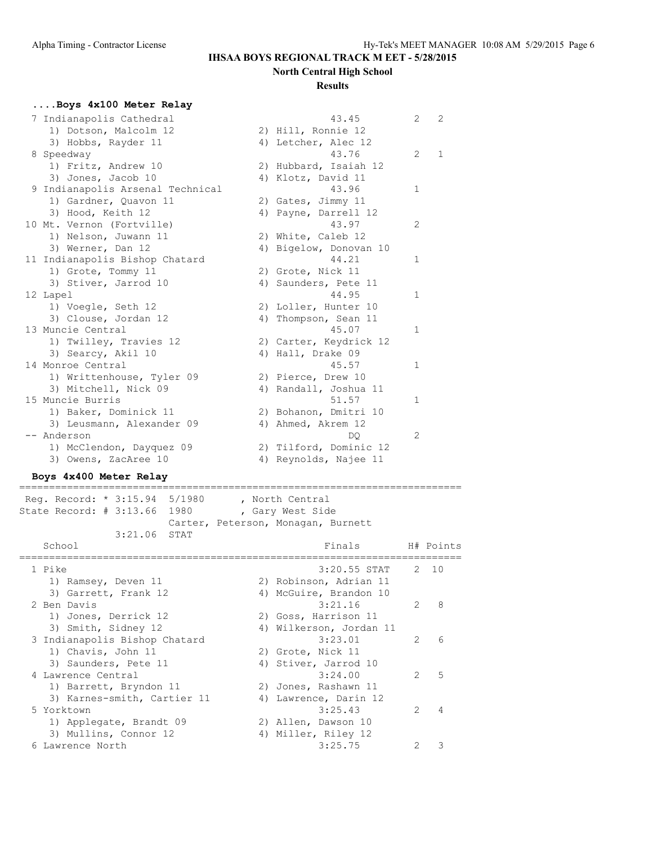#### **Results**

# **....Boys 4x100 Meter Relay**

| $\frac{1}{2}$ | Indianapolis Cathedral           | 43.45                  | 2              | $\overline{2}$ |
|---------------|----------------------------------|------------------------|----------------|----------------|
|               | 1) Dotson, Malcolm 12            | 2) Hill, Ronnie 12     |                |                |
|               | 3) Hobbs, Rayder 11              | 4) Letcher, Alec 12    |                |                |
|               | 8 Speedway                       | 43.76                  | $\overline{2}$ | $\mathbf{1}$   |
|               | 1) Fritz, Andrew 10              | 2) Hubbard, Isaiah 12  |                |                |
|               | 3) Jones, Jacob 10               | 4) Klotz, David 11     |                |                |
|               | 9 Indianapolis Arsenal Technical | 43.96                  | $\mathbf{1}$   |                |
|               | 1) Gardner, Quavon 11            | 2) Gates, Jimmy 11     |                |                |
|               | 3) Hood, Keith 12                | 4) Payne, Darrell 12   |                |                |
|               | 10 Mt. Vernon (Fortville)        | 43.97                  | 2              |                |
|               | 1) Nelson, Juwann 11             | 2) White, Caleb 12     |                |                |
|               | 3) Werner, Dan 12                | 4) Bigelow, Donovan 10 |                |                |
|               | 11 Indianapolis Bishop Chatard   | 44.21                  | $\mathbf{1}$   |                |
|               | 1) Grote, Tommy 11               | 2) Grote, Nick 11      |                |                |
|               | 3) Stiver, Jarrod 10             | 4) Saunders, Pete 11   |                |                |
|               | 12 Lapel                         | 44.95                  | $\mathbf{1}$   |                |
|               | 1) Voegle, Seth 12               | 2) Loller, Hunter 10   |                |                |
|               | 3) Clouse, Jordan 12             | 4) Thompson, Sean 11   |                |                |
|               | 13 Muncie Central                | 45.07                  | 1              |                |
|               | 1) Twilley, Travies 12           | 2) Carter, Keydrick 12 |                |                |
|               | 3) Searcy, Akil 10               | 4) Hall, Drake 09      |                |                |
|               | 14 Monroe Central                | 45.57                  | 1              |                |
|               | 1) Writtenhouse, Tyler 09        | 2) Pierce, Drew 10     |                |                |
|               | 3) Mitchell, Nick 09             | 4) Randall, Joshua 11  |                |                |
|               | 15 Muncie Burris                 | 51.57                  | 1              |                |
|               | 1) Baker, Dominick 11            | 2) Bohanon, Dmitri 10  |                |                |
|               | 3) Leusmann, Alexander 09        | 4) Ahmed, Akrem 12     |                |                |
|               | -- Anderson                      | DO.                    | $\mathfrak{L}$ |                |
|               | 1) McClendon, Dayquez 09         | 2) Tilford, Dominic 12 |                |                |
|               | 3) Owens, ZacAree 10             | 4) Reynolds, Najee 11  |                |                |
|               |                                  |                        |                |                |

# **Boys 4x400 Meter Relay**

========================================================================== Reg. Record: \* 3:15.94 5/1980 , North Central State Record: # 3:13.66 1980 , Gary West Side Carter, Peterson, Monagan, Burnett 3:21.06 STAT

| School                        | Finals                  |               | H# Points |
|-------------------------------|-------------------------|---------------|-----------|
| 1 Pike                        | $3:20.55$ STAT          |               | 2, 10     |
| 1) Ramsey, Deven 11           | 2) Robinson, Adrian 11  |               |           |
| 3) Garrett, Frank 12          | 4) McGuire, Brandon 10  |               |           |
| 2 Ben Davis                   | 3:21.16                 | $\mathcal{P}$ | 8         |
| 1) Jones, Derrick 12          | 2) Goss, Harrison 11    |               |           |
| 3) Smith, Sidney 12           | 4) Wilkerson, Jordan 11 |               |           |
| 3 Indianapolis Bishop Chatard | 3:23.01                 | $\mathcal{P}$ | 6         |
| 1) Chavis, John 11            | 2) Grote, Nick 11       |               |           |
| 3) Saunders, Pete 11          | 4) Stiver, Jarrod 10    |               |           |
| 4 Lawrence Central            | 3:24.00                 | $\mathcal{P}$ | 5         |
| 1) Barrett, Bryndon 11        | 2) Jones, Rashawn 11    |               |           |
| 3) Karnes-smith, Cartier 11   | 4) Lawrence, Darin 12   |               |           |
| 5 Yorktown                    | 3:25.43                 | $\mathcal{P}$ | 4         |
| 1) Applegate, Brandt 09       | 2) Allen, Dawson 10     |               |           |
| 3) Mullins, Connor 12         | 4) Miller, Riley 12     |               |           |
| 6 Lawrence North              | 3:25.75                 |               | Κ         |
|                               |                         |               |           |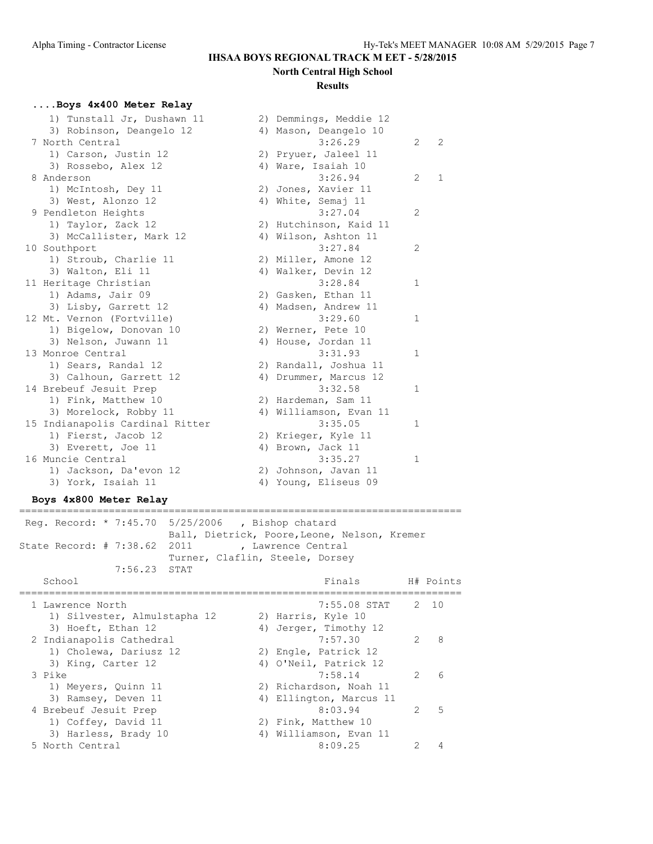#### **Results**

#### **....Boys 4x400 Meter Relay**

| 1) Tunstall Jr, Dushawn 11      | 2) Demmings, Meddie 12 |                |              |
|---------------------------------|------------------------|----------------|--------------|
| 3) Robinson, Deangelo 12        | 4) Mason, Deangelo 10  |                |              |
| 7 North Central                 | 3:26.29                | $\overline{2}$ | 2            |
| 1) Carson, Justin 12            | 2) Pryuer, Jaleel 11   |                |              |
| 3) Rossebo, Alex 12             | 4) Ware, Isaiah 10     |                |              |
| 8 Anderson                      | 3:26.94                | 2              | $\mathbf{1}$ |
| 1) McIntosh, Dey 11             | 2) Jones, Xavier 11    |                |              |
| 3) West, Alonzo 12              | 4) White, Semaj 11     |                |              |
| 9 Pendleton Heights             | 3:27.04                | $\overline{2}$ |              |
| 1) Taylor, Zack 12              | 2) Hutchinson, Kaid 11 |                |              |
| 3) McCallister, Mark 12         | 4) Wilson, Ashton 11   |                |              |
| 10 Southport                    | 3:27.84                | 2              |              |
| 1) Stroub, Charlie 11           | 2) Miller, Amone 12    |                |              |
| 3) Walton, Eli 11               | 4) Walker, Devin 12    |                |              |
| 11 Heritage Christian           | 3:28.84                | $\mathbf{1}$   |              |
| 1) Adams, Jair 09               | 2) Gasken, Ethan 11    |                |              |
| 3) Lisby, Garrett 12            | 4) Madsen, Andrew 11   |                |              |
| 12 Mt. Vernon (Fortville)       | 3:29.60                | $\mathbf 1$    |              |
| 1) Bigelow, Donovan 10          | 2) Werner, Pete 10     |                |              |
| 3) Nelson, Juwann 11            | 4) House, Jordan 11    |                |              |
| 13 Monroe Central               | 3:31.93                | $\mathbf{1}$   |              |
| 1) Sears, Randal 12             | 2) Randall, Joshua 11  |                |              |
| 3) Calhoun, Garrett 12          | 4) Drummer, Marcus 12  |                |              |
| 14 Brebeuf Jesuit Prep          | 3:32.58                | $\mathbf{1}$   |              |
| 1) Fink, Matthew 10             | 2) Hardeman, Sam 11    |                |              |
| 3) Morelock, Robby 11           | 4) Williamson, Evan 11 |                |              |
| 15 Indianapolis Cardinal Ritter | 3:35.05                | $\mathbf{1}$   |              |
| 1) Fierst, Jacob 12             | 2) Krieger, Kyle 11    |                |              |
| 3) Everett, Joe 11              | 4) Brown, Jack 11      |                |              |
| 16 Muncie Central               | 3:35.27                | $\mathbf{1}$   |              |
| 1) Jackson, Da'evon 12          | 2) Johnson, Javan 11   |                |              |
| 3) York, Isaiah 11              | 4) Young, Eliseus 09   |                |              |

#### **Boys 4x800 Meter Relay**

========================================================================== Reg. Record: \* 7:45.70 5/25/2006 , Bishop chatard Ball, Dietrick, Poore,Leone, Nelson, Kremer State Record: # 7:38.62 2011 , Lawrence Central Turner, Claflin, Steele, Dorsey 7:56.23 STAT School Finals H# Points ========================================================================== 1 Lawrence North 7:55.08 STAT 2 10 1) Silvester, Almulstapha 12 2) Harris, Kyle 10 3) Hoeft, Ethan 12 4) Jerger, Timothy 12 2 Indianapolis Cathedral 7:57.30 2 8 1) Cholewa, Dariusz 12 (2) Engle, Patrick 12 3) King, Carter 12 4) O'Neil, Patrick 12 3 Pike 7:58.14 2 6 1) Meyers, Quinn 11 2) Richardson, Noah 11 3) Ramsey, Deven 11 4) Ellington, Marcus 11 4 Brebeuf Jesuit Prep 198:03.94 2 5 1) Coffey, David 11 2) Fink, Matthew 10 3) Harless, Brady 10 4) Williamson, Evan 11

5 North Central 8:09.25 2 4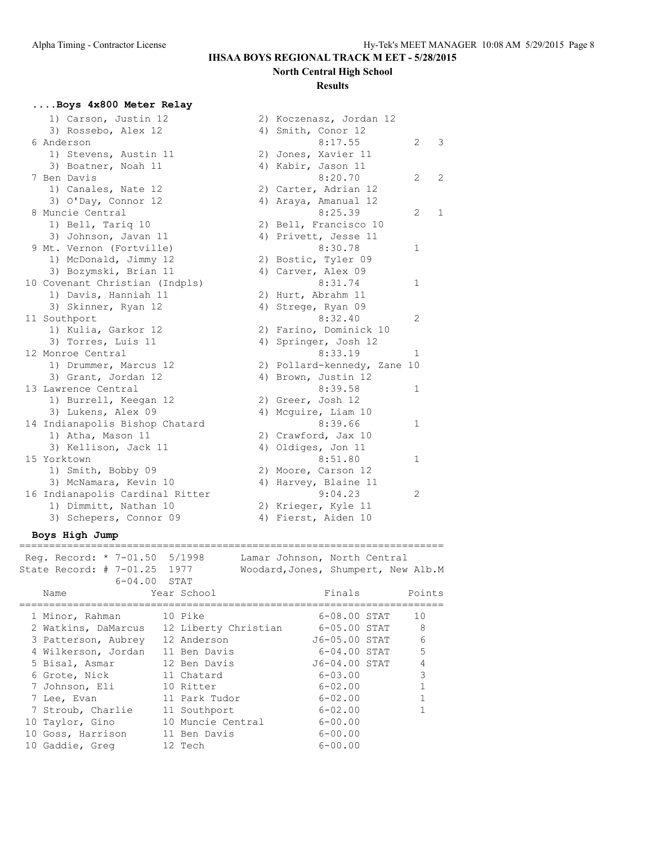#### **Results**

#### **....Boys 4x800 Meter Relay**

| 1) Carson, Justin 12            | 2) Koczenasz, Jordan 12     |                |                |
|---------------------------------|-----------------------------|----------------|----------------|
| 3) Rossebo, Alex 12             | 4) Smith, Conor 12          |                |                |
| 6 Anderson                      | 8:17.55                     | $\overline{2}$ | 3              |
| 1) Stevens, Austin 11           | 2) Jones, Xavier 11         |                |                |
| 3) Boatner, Noah 11             | 4) Kabir, Jason 11          |                |                |
| 7 Ben Davis                     | 8:20.70                     | 2              | $\overline{2}$ |
| 1) Canales, Nate 12             | 2) Carter, Adrian 12        |                |                |
| 3) O'Day, Connor 12             | 4) Araya, Amanual 12        |                |                |
| 8 Muncie Central                | 8:25.39                     | 2              | $\mathbf{1}$   |
| 1) Bell, Tariq 10               | 2) Bell, Francisco 10       |                |                |
| 3) Johnson, Javan 11            | 4) Privett, Jesse 11        |                |                |
| 9 Mt. Vernon (Fortville)        | 8:30.78                     | $\mathbf 1$    |                |
| 1) McDonald, Jimmy 12           | 2) Bostic, Tyler 09         |                |                |
| 3) Bozymski, Brian 11           | 4) Carver, Alex 09          |                |                |
| 10 Covenant Christian (Indpls)  | 8:31.74                     | $\mathbf 1$    |                |
| 1) Davis, Hanniah 11            | 2) Hurt, Abrahm 11          |                |                |
| 3) Skinner, Ryan 12             | 4) Strege, Ryan 09          |                |                |
| 11 Southport                    | 8:32.40                     | 2              |                |
| 1) Kulia, Garkor 12             | 2) Farino, Dominick 10      |                |                |
| 3) Torres, Luis 11              | 4) Springer, Josh 12        |                |                |
| 12 Monroe Central               | 8:33.19                     | $\mathbf{1}$   |                |
| 1) Drummer, Marcus 12           | 2) Pollard-kennedy, Zane 10 |                |                |
| 3) Grant, Jordan 12             | 4) Brown, Justin 12         |                |                |
| 13 Lawrence Central             | 8:39.58                     | $\mathbf{1}$   |                |
| 1) Burrell, Keegan 12           | 2) Greer, Josh 12           |                |                |
| 3) Lukens, Alex 09              | 4) Mcquire, Liam 10         |                |                |
| 14 Indianapolis Bishop Chatard  | 8:39.66                     | $\mathbf 1$    |                |
| 1) Atha, Mason 11               | 2) Crawford, Jax 10         |                |                |
| 3) Kellison, Jack 11            | 4) Oldiges, Jon 11          |                |                |
| 15 Yorktown                     | 8:51.80                     | $\mathbf 1$    |                |
| 1) Smith, Bobby 09              | 2) Moore, Carson 12         |                |                |
| 3) McNamara, Kevin 10           | 4) Harvey, Blaine 11        |                |                |
| 16 Indianapolis Cardinal Ritter | 9:04.23                     | 2              |                |
| 1) Dimmitt, Nathan 10           | 2) Krieger, Kyle 11         |                |                |
| 3) Schepers, Connor 09          | 4) Fierst, Aiden 10         |                |                |

#### **Boys High Jump**

======================================================================= Reg. Record: \* 7-01.50 5/1998 Lamar Johnson, North Central State Record: # 7-01.25 1977 Woodard,Jones, Shumpert, New Alb.M 6-04.00 STAT Name Year School **Finals** Points ======================================================================= 1 Minor, Rahman 10 Pike 6-08.00 STAT 10 2 Watkins, DaMarcus 12 Liberty Christian 6-05.00 STAT 8 3 Patterson, Aubrey 12 Anderson J6-05.00 STAT 6 4 Wilkerson, Jordan 11 Ben Davis 6-04.00 STAT 5 5 Bisal, Asmar 12 Ben Davis J6-04.00 STAT 4 6 Grote, Nick 11 Chatard 6-03.00 3 7 Johnson, Eli 10 Ritter 6-02.00 1 7 Lee, Evan 11 Park Tudor 6-02.00 1 7 Stroub, Charlie 11 Southport 6-02.00 1 10 Taylor, Gino 10 Muncie Central 6-00.00 10 Goss, Harrison 11 Ben Davis 6-00.00 10 Gaddie, Greg 12 Tech 6-00.00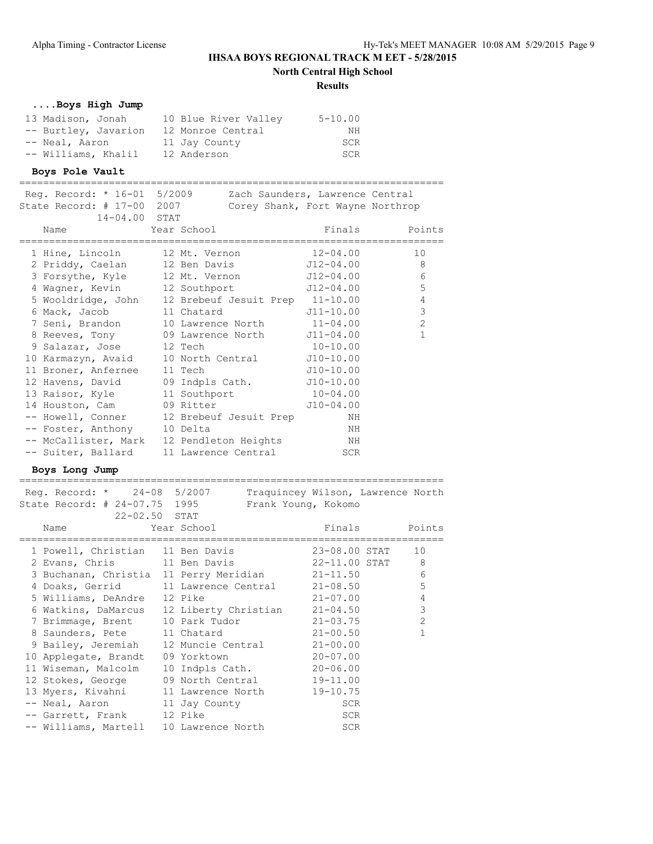**North Central High School**

#### **Results**

=======================================================================

# **....Boys High Jump**

| 13 Madison, Jonah    | 10 Blue River Valley | $5 - 10.00$ |
|----------------------|----------------------|-------------|
| -- Burtley, Javarion | 12 Monroe Central    | NΗ          |
| -- Neal, Aaron       | 11 Jay County        | SCR         |
| -- Williams, Khalil  | 12 Anderson          | SCR         |

#### **Boys Pole Vault**

======================================================================= Reg. Record: \* 16-01 5/2009 Zach Saunders, Lawrence Central

| State Record: # 17-00 2007  | Corey Shank, Fort Wayne Northrop                   |             |                |
|-----------------------------|----------------------------------------------------|-------------|----------------|
| $14 - 04.00$ STAT           |                                                    |             |                |
| Year School<br>Name         |                                                    |             | Finals Points  |
|                             |                                                    |             |                |
|                             | 1 Hine, Lincoln 12 Mt. Vernon 12-04.00             |             | 10             |
|                             | 2 Priddy, Caelan 12 Ben Davis 512-04.00 8          |             |                |
|                             | 3 Forsythe, Kyle 12 Mt. Vernon 512-04.00           |             | 6              |
|                             | 4 Wagner, Kevin 12 Southport 512-04.00             |             | 5              |
|                             | 5 Wooldridge, John 12 Brebeuf Jesuit Prep 11-10.00 |             | $\overline{4}$ |
|                             | 6 Mack, Jacob 11 Chatard 511-10.00                 |             | $\mathcal{S}$  |
|                             | 7 Seni, Brandon 10 Lawrence North 11-04.00         |             | 2              |
|                             | 8 Reeves, Tony 09 Lawrence North J11-04.00         |             | $\mathbf{1}$   |
| 9 Salazar, Jose 12 Tech     | $10-10.00$                                         |             |                |
|                             | 10 Karmazyn, Avaid 10 North Central J10-10.00      |             |                |
| 11 Broner, Anfernee 11 Tech |                                                    | $J10-10.00$ |                |
|                             | 12 Havens, David 09 Indpls Cath. J10-10.00         |             |                |
|                             | 13 Raisor, Kyle 11 Southport 10-04.00              |             |                |
|                             | 14 Houston, Cam 09 Ritter 510-04.00                |             |                |
|                             | -- Howell, Conner 12 Brebeuf Jesuit Prep           | NH          |                |
| -- Foster, Anthony 10 Delta |                                                    | ΝH          |                |
|                             | -- McCallister, Mark 12 Pendleton Heights          | NH          |                |
|                             | -- Suiter, Ballard 11 Lawrence Central SCR         |             |                |

#### **Boys Long Jump**

| Reg. Record: * 24-08 5/2007<br>State Record: # 24-07.75 1995                                                                                                                                                                                        |             | Traquincey Wilson, Lawrence North<br>Frank Young, Kokomo |               |                |
|-----------------------------------------------------------------------------------------------------------------------------------------------------------------------------------------------------------------------------------------------------|-------------|----------------------------------------------------------|---------------|----------------|
| $22 - 02.50$ STAT<br>Name and the state of the state of the state of the state of the state of the state of the state of the state of the state of the state of the state of the state of the state of the state of the state of the state of the s | Year School |                                                          | Finals Points |                |
| 1 Powell, Christian 11 Ben Davis 23-08.00 STAT                                                                                                                                                                                                      |             |                                                          |               | 10             |
| 2 Evans, Chris 11 Ben Davis 22-11.00 STAT 8                                                                                                                                                                                                         |             |                                                          |               |                |
| 3 Buchanan, Christia 11 Perry Meridian 21-11.50                                                                                                                                                                                                     |             |                                                          |               | 6              |
| 4 Doaks, Gerrid 11 Lawrence Central 21-08.50                                                                                                                                                                                                        |             |                                                          |               | 5              |
| 5 Williams, DeAndre 12 Pike                                                                                                                                                                                                                         |             | $21 - 07.00$                                             |               | $\overline{4}$ |
| 6 Watkins, DaMarcus 12 Liberty Christian 21-04.50                                                                                                                                                                                                   |             |                                                          |               | 3              |
| 7 Brimmage, Brent 10 Park Tudor 10 21-03.75                                                                                                                                                                                                         |             |                                                          |               | $\overline{2}$ |
| 8 Saunders, Pete 11 Chatard 21-00.50                                                                                                                                                                                                                |             |                                                          |               |                |
| 9 Bailey, Jeremiah 12 Muncie Central 21-00.00                                                                                                                                                                                                       |             |                                                          |               |                |
| 10 Applegate, Brandt 09 Yorktown 20-07.00                                                                                                                                                                                                           |             |                                                          |               |                |
| 11 Wiseman, Malcolm 10 Indpls Cath. 20-06.00                                                                                                                                                                                                        |             |                                                          |               |                |
| 12 Stokes, George 09 North Central 19-11.00                                                                                                                                                                                                         |             |                                                          |               |                |
| 13 Myers, Kivahni 11 Lawrence North 19-10.75                                                                                                                                                                                                        |             |                                                          |               |                |
| -- Neal, Aaron 11 Jay County                                                                                                                                                                                                                        |             |                                                          | <b>SCR</b>    |                |
| -- Garrett, Frank 12 Pike                                                                                                                                                                                                                           |             |                                                          | <b>SCR</b>    |                |
| -- Williams, Martell 10 Lawrence North                                                                                                                                                                                                              |             |                                                          | SCR           |                |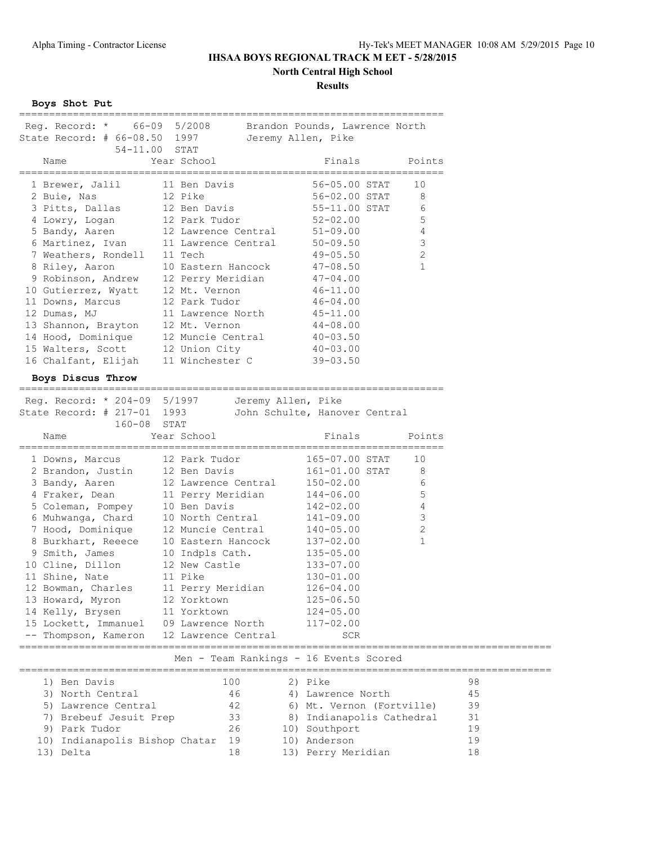# **North Central High School**

**Results**

**Boys Shot Put**

| Reg. Record: * 66-09 5/2008 Brandon Pounds, Lawrence North                                                     |                                                                                                                                                          |                                        |                            |    |
|----------------------------------------------------------------------------------------------------------------|----------------------------------------------------------------------------------------------------------------------------------------------------------|----------------------------------------|----------------------------|----|
| State Record: # 66-08.50 1997                                                                                  |                                                                                                                                                          | Jeremy Allen, Pike                     |                            |    |
| 54-11.00 STAT                                                                                                  |                                                                                                                                                          |                                        |                            |    |
| Name                                                                                                           | Year School                                                                                                                                              | Finals                                 | Points                     |    |
| 1 Brewer, Jalil 11 Ben Davis                                                                                   |                                                                                                                                                          | 56-05.00 STAT                          | 10                         |    |
| 2 Buie, Nas                                                                                                    | 12 Pike<br>12 Ben Davis<br>12 Ben Davis<br>12 Parl T                                                                                                     |                                        | 8                          |    |
| 3 Pitts, Dallas                                                                                                |                                                                                                                                                          | 56-02.00 STAT<br>55-11.00 STAT         | 6                          |    |
| 4 Lowry, Logan                                                                                                 | 12 Park Tudor                                                                                                                                            | $52 - 02.00$                           | 5                          |    |
| 5 Bandy, Aaren                                                                                                 | 12 Lawrence Central 51-09.00                                                                                                                             |                                        | 4                          |    |
| 6 Martinez, Ivan                                                                                               | 11 Lawrence Central 50-09.50                                                                                                                             |                                        | 3                          |    |
| 7 Weathers, Rondell                                                                                            | 11 Tech                                                                                                                                                  | 49-05.50                               | 2                          |    |
| 8 Riley, Aaron<br>9 Robinson, Andrew<br>10 Eastern Hancock<br>10 Gutierrez, Wyatt<br>12 Mt. Vernon<br>11 Dours |                                                                                                                                                          | $47 - 08.50$                           | $\mathbf{1}$               |    |
|                                                                                                                |                                                                                                                                                          | $47 - 04.00$                           |                            |    |
|                                                                                                                |                                                                                                                                                          | $46 - 11.00$                           |                            |    |
| 11 Downs, Marcus                                                                                               | 12 Park Tudor                                                                                                                                            | $46 - 04.00$                           |                            |    |
| 12 Dumas, MJ                                                                                                   | 11 Lawrence North 45-11.00                                                                                                                               |                                        |                            |    |
| 13 Shannon, Brayton 12 Mt. Vernon                                                                              |                                                                                                                                                          | $44 - 08.00$                           |                            |    |
|                                                                                                                |                                                                                                                                                          |                                        |                            |    |
| 14 Hood, Dominique 12 Muncie Central<br>15 Walters, Scott 12 Union City<br>16 Chalfant, Elijah 11 Winchester C |                                                                                                                                                          | $40 - 03.50$<br>$40 - 03.00$           |                            |    |
|                                                                                                                |                                                                                                                                                          | $39 - 03.50$                           |                            |    |
|                                                                                                                |                                                                                                                                                          |                                        |                            |    |
| Boys Discus Throw                                                                                              |                                                                                                                                                          |                                        |                            |    |
| Reg. Record: * 204-09 5/1997 Jeremy Allen, Pike                                                                |                                                                                                                                                          |                                        |                            |    |
| State Record: # 217-01 1993                                                                                    |                                                                                                                                                          | John Schulte, Hanover Central          |                            |    |
| 160-08 STAT                                                                                                    |                                                                                                                                                          |                                        |                            |    |
| Name                                                                                                           | Year School                                                                                                                                              | Finals                                 | Points                     |    |
| 1 Downs, Marcus                                                                                                | 12 Park Tudor                                                                                                                                            | 165-07.00 STAT                         | 10                         |    |
|                                                                                                                |                                                                                                                                                          | 161-01.00 STAT                         | 8                          |    |
|                                                                                                                |                                                                                                                                                          |                                        | 6                          |    |
|                                                                                                                |                                                                                                                                                          |                                        |                            |    |
|                                                                                                                |                                                                                                                                                          |                                        | 5                          |    |
|                                                                                                                | 2 Brandon, Justin 12 Ben Davis 161-01.00 3<br>3 Bandy, Aaren 12 Lawrence Central 150-02.00<br>4 Fraker, Dean 11 Perry Meridian 144-06.00<br>10 Ben Davis | 142-02.00                              | 4                          |    |
| 5 Coleman, Pompey                                                                                              |                                                                                                                                                          |                                        |                            |    |
| 6 Muhwanga, Chard                                                                                              | 10 North Central 141-09.00                                                                                                                               |                                        | 3                          |    |
| 7 Hood, Dominique                                                                                              | 12 Muncie Central 140-05.00                                                                                                                              |                                        | $\sqrt{2}$<br>$\mathbf{1}$ |    |
|                                                                                                                | 10 Eastern Hancock                                                                                                                                       | $137 - 02.00$                          |                            |    |
| 7 Hoou, <u>Lumenter of the Surkhart</u> , Reeece<br>9 Smith, James                                             | 10 Indpls Cath.                                                                                                                                          | $135 - 05.00$                          |                            |    |
| 10 Cline, Dillon                                                                                               | 12 New Castle                                                                                                                                            | 133-07.00                              |                            |    |
| 11 Shine, Nate                                                                                                 | 11 Pike                                                                                                                                                  | $130 - 01.00$                          |                            |    |
| 12 Bowman, Charles                                                                                             | 11 Perry Meridian                                                                                                                                        | $126 - 04.00$                          |                            |    |
| 13 Howard, Myron                                                                                               | 12 Yorktown                                                                                                                                              | $125 - 06.50$                          |                            |    |
| 14 Kelly, Brysen                                                                                               | 11 Yorktown                                                                                                                                              | $124 - 05.00$                          |                            |    |
| 15 Lockett, Immanuel                                                                                           | 09 Lawrence North                                                                                                                                        | $117 - 02.00$<br><b>SCR</b>            |                            |    |
| -- Thompson, Kameron                                                                                           | 12 Lawrence Central                                                                                                                                      |                                        |                            |    |
|                                                                                                                |                                                                                                                                                          | Men - Team Rankings - 16 Events Scored |                            |    |
| 1) Ben Davis                                                                                                   | 100                                                                                                                                                      | 2) Pike                                |                            | 98 |
| 3) North Central                                                                                               | 46                                                                                                                                                       | 4) Lawrence North                      |                            | 45 |
| 5) Lawrence Central                                                                                            | 42                                                                                                                                                       | 6) Mt. Vernon (Fortville)              |                            | 39 |
|                                                                                                                | 33                                                                                                                                                       |                                        |                            | 31 |
| 7) Brebeuf Jesuit Prep<br>9) Park Tudor                                                                        | 26                                                                                                                                                       | 8) Indianapolis Cathedral              |                            | 19 |
| 10) Indianapolis Bishop Chatar                                                                                 | 19                                                                                                                                                       | 10) Southport<br>10) Anderson          |                            | 19 |